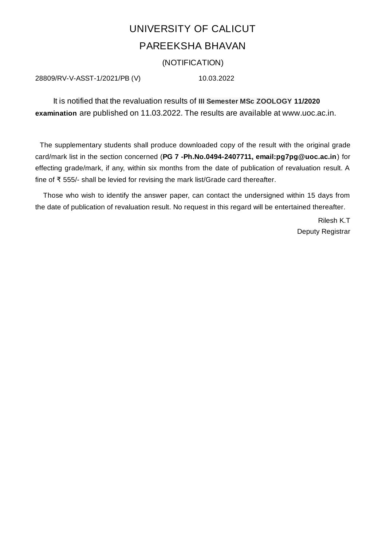## UNIVERSITY OF CALICUT PAREEKSHA BHAVAN

## (NOTIFICATION)

28809/RV-V-ASST-1/2021/PB (V) 10.03.2022

It is notified that the revaluation results of **III Semester MSc ZOOLOGY 11/2020 examination** are published on 11.03.2022. The results are available at www.uoc.ac.in.

The supplementary students shall produce downloaded copy of the result with the original grade card/mark list in the section concerned (**PG 7 -Ph.No.0494-2407711, email:pg7pg@uoc.ac.in**) for effecting grade/mark, if any, within six months from the date of publication of revaluation result. A fine of ₹ 555/- shall be levied for revising the mark list/Grade card thereafter.

Those who wish to identify the answer paper, can contact the undersigned within 15 days from the date of publication of revaluation result. No request in this regard will be entertained thereafter.

> Rilesh K.T Deputy Registrar